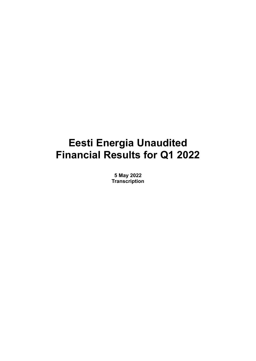# **Eesti Energia Unaudited Financial Results for Q1 2022**

**5 May 2022 Transcription**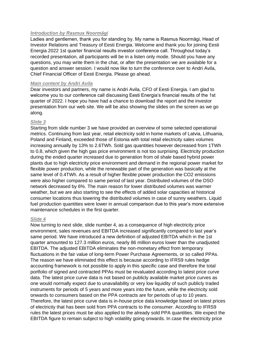## *Introduction by Rasmus Noormägi*

Ladies and gentlemen, thank you for standing by. My name is Rasmus Noormägi, Head of Investor Relations and Treasury of Eesti Energia. Welcome and thank you for joining Eesti Energia 2022 1st quarter financial results investor conference call. Throughout today's recorded presentation, all participants will be in a listen only mode. Should you have any questions, you may write them in the chat, or after the presentation we are available for a question and answer session. I would now like to turn the conference over to Andri Avila, Chief Financial Officer of Eesti Energia. Please go ahead.

# *Main content by Andri Avila*

Dear investors and partners, my name is Andri Avila, CFO of Eesti Energia. I am glad to welcome you to our conference call discussing Eesti Energia's financial results of the 1st quarter of 2022. I hope you have had a chance to download the report and the investor presentation from our web site. We will be also showing the slides on the screen as we go along.

# *Slide 3*

Starting from slide number 3 we have provided an overview of some selected operational metrics. Continuing from last year, retail electricity sold in home markets of Latvia, Lithuania, Poland and Finland, exceeded those of Estonia with total retail electricity sales volumes increasing annually by 13% to 2.6TWh. Sold gas quantities however decreased from 1TWh to 0.8, which given the high gas price environment is not too surprising. Electricity production during the ended quarter increased due to generation from oil shale based hybrid power plants due to high electricity price environment and demand in the regional power market for flexible power production, while the renewable part of the generation was basically at the same level of 0.4TWh. As a result of higher flexible power production the CO2 emissions were also higher compared to same period of last year. Distributed volumes of the DSO network decreased by 6%. The main reason for lower distributed volumes was warmer weather, but we are also starting to see the effects of added solar capacities at historical consumer locations thus lowering the distributed volumes in case of sunny weathers. Liquid fuel production quantities were lower in annual comparison due to this year's more extensive maintenance schedules in the first quarter.

## *Slide 4*

Now turning to next slide, slide number 4, as a consequence of high electricity price environment, sales revenues and EBITDA increased significantly compared to last year's same period. We have introduced a new definition of adjusted EBITDA which in the 1st quarter amounted to 127.3 million euros, nearly 86 million euros lower than the unadjusted EBITDA. The adjusted EBITDA eliminates the non-monetary effect from temporary fluctuations in the fair value of long-term Power Purchase Agreements, or so called PPAs. The reason we have eliminated this effect is because according to IFRS9 rules hedge accounting framework is not possible to apply in this specific case and therefore the total portfolio of signed and contracted PPAs must be revaluated according to latest price curve data. The latest price curve data is not based on publicly available market price curves as one would normally expect due to unavailability or very low liquidity of such publicly traded instruments for periods of 5 years and more years into the future, while the electricity sold onwards to consumers based on the PPA contracts are for periods of up to 10 years. Therefore, the latest price curve data is in-house price data knowledge based on latest prices of electricity that has been sold from PPA contracts to the consumer. According to IFRS9 rules the latest prices must be also applied to the already sold PPA quantities. We expect the EBITDA figure to remain subject to high volatility going onwards. In case the electricity price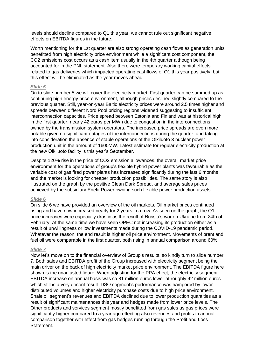levels should decline compared to Q1 this year, we cannot rule out significant negative effects on EBITDA figures in the future.

Worth mentioning for the 1st quarter are also strong operating cash flows as generation units benefitted from high electricity price environment while a significant cost component, the CO2 emissions cost occurs as a cash item usually in the 4th quarter although being accounted for in the PNL statement. Also there were temporary working capital effects related to gas deliveries which impacted operating cashflows of Q1 this year positively, but this effect will be eliminated as the year moves ahead.

## *Slide 5*

On to slide number 5 we will cover the electricity market. First quarter can be summed up as continuing high energy price environment, although prices declined slightly compared to the previous quarter. Still, year-on-year Baltic electricity prices were around 2.5 times higher and spreads between different Nord Pool pricing regions widened suggesting to insufficient interconnection capacities. Price spread between Estonia and Finland was at historical high in the first quarter, nearly 42 euros per MWh due to congestion in the interconnections owned by the transmission system operators. The increased price spreads are even more notable given no significant outages of the interconnections during the quarter, and taking into consideration the absence of stable operations of the Olkiluoto 3 nuclear power production unit in the amount of 1600MW. Latest estimate for regular electricity production at the new Olkiluoto facility is this year's September.

Despite 120% rise in the price of CO2 emission allowances, the overall market price environment for the operations of group's flexible hybrid power plants was favourable as the variable cost of gas fired power plants has increased significantly during the last 6 months and the market is looking for cheaper production possibilities. The same story is also illustrated on the graph by the positive Clean Dark Spread, and average sales prices achieved by the subsidiary Enefit Power owning such flexible power production assets.

#### *Slide 6*

On slide 6 we have provided an overview of the oil markets. Oil market prices continued rising and have now increased nearly for 2 years in a row. As seen on the graph, the Q1 price increases were especially drastic as the result of Russia's war on Ukraine from 24th of February. At the same time we have seen OPEC not increasing its production either as a result of unwillingness or low investments made during the COVID-19 pandemic period. Whatever the reason, the end result is higher oil price environment. Movements of brent and fuel oil were comparable in the first quarter, both rising in annual comparison around 60%.

#### *Slide 7*

Now let's move on to the financial overview of Group's results, so kindly turn to slide number 7. Both sales and EBITDA profit of the Group increased with electricity segment being the main driver on the back of high electricity market price environment. The EBITDA figure here shown is the unadjusted figure. When adjusting for the PPA effect, the electricity segment EBITDA increase on annual basis was ca 81 million euros lower at roughly 42 million euros which still is a very decent result. DSO segment's performance was hampered by lower distributed volumes and higher electricity purchase costs due to high price environment. Shale oil segment's revenues and EBITDA declined due to lower production quantities as a result of significant maintenances this year and hedges made from lower price levels. The Other products and services segment mostly benefitted from gas sales as gas prices were significantly higher compared to a year ago effecting also revenues and profits in annual comparison together with effect from gas hedges running through the Profit and Loss **Statement**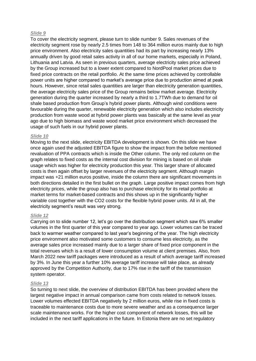## *Slide 9*

To cover the electricity segment, please turn to slide number 9. Sales revenues of the electricity segment rose by nearly 2.5 times from 148 to 364 million euros mainly due to high price environment. Also electricity sales quantities had its part by increasing nearly 13% annually driven by good retail sales activity in all of our home markets, especially in Poland, Lithuania and Latvia. As seen in previous quarters, average electricity sales price achieved by the Group increased but to a lower extent compared to NordPool market prices due to fixed price contracts on the retail portfolio. At the same time prices achieved by controllable power units are higher compared to market's average price due to production aimed at peak hours. However, since retail sales quantities are larger than electricity generation quantities, the average electricity sales price of the Group remains below market average. Electricity generation during the quarter increased by nearly a third to 1.7TWh due to demand for oil shale based production from Group's hybrid power plants. Although wind conditions were favourable during the quarter, renewable electricity generation which also includes electricity production from waste wood at hybrid power plants was basically at the same level as year ago due to high biomass and waste wood market price environment which decreased the usage of such fuels in our hybrid power plants.

#### *Slide 10*

Moving to the next slide, electricity EBITDA development is shown. On this slide we have once again used the adjusted EBITDA figure to show the impact from the before mentioned revaluation of PPA contracts which is inside the Other column. The only red column on the graph relates to fixed costs as the internal cost division for mining is based on oil shale usage which was higher for electricity production this year. This larger share of allocated costs is then again offset by larger revenues of the electricity segment. Although margin impact was +21 million euros positive, inside the column there are significant movements in both directions detailed in the first bullet on the graph. Large positive impact comes from high electricity prices, while the group also has to purchase electricity for its retail portfolio at market terms for market-based contracts and this shows up in the significantly higher variable cost together with the CO2 costs for the flexible hybrid power units. All in all, the electricity segment's result was very strong.

# *Slide 12*

Carrying on to slide number 12, let's go over the distribution segment which saw 6% smaller volumes in the first quarter of this year compared to year ago. Lower volumes can be traced back to warmer weather compared to last year's beginning of the year. The high electricity price environment also motivated some customers to consume less electricity, as the average sales price increased mainly due to a larger share of fixed price component in the total revenues which is a result of lower consumption volume at client premises. Also, from March 2022 new tariff packages were introduced as a result of which average tariff increased by 3%. In June this year a further 10% average tariff increase will take place, as already approved by the Competition Authority, due to 17% rise in the tariff of the transmission system operator.

## *Slide 13*

So turning to next slide, the overview of distribution EBITDA has been provided where the largest negative impact in annual comparison came from costs related to network losses. Lower volumes effected EBITDA negatively by 2 million euros, while rise in fixed costs is traceable to maintenance costs due to more severe weather and as a consequence larger scale maintenance works. For the higher cost component of network losses, this will be included in the next tariff applications in the future. In Estonia there are no set regulatory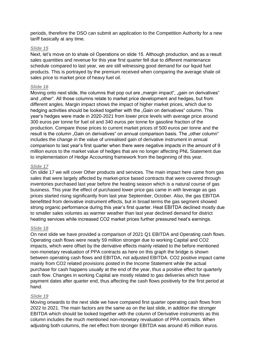periods, therefore the DSO can submit an application to the Competition Authority for a new tariff basically at any time.

#### *Slide 15*

Next, let's move on to shale oil Operations on slide 15. Although production, and as a result sales quantities and revenue for this year first quarter fell due to different maintenance schedule compared to last year, we are still witnessing good demand for our liquid fuel products. This is portrayed by the premium received when comparing the average shale oil sales price to market price of heavy fuel oil.

#### *Slide 16*

Moving onto next slide, the columns that pop out are "margin impact", "gain on derivatives" and "other". All those columns relate to market price development and hedges, but from different angles. Margin impact shows the impact of higher market prices, which due to hedging activities should be looked together with the "Gain on derivatives" column. This year's hedges were made in 2020-2021 from lower price levels with average price around 300 euros per tonne for fuel oil and 340 euros per tonne for gasoline fraction of the production. Compare those prices to current market prices of 500 euros per tonne and the result is the column "Gain on derivatives" on annual comparison basis. The "other column" includes the change in the value of unrealised gain of derivative instrument in annual comparison to last year's first quarter when there were negative impacts in the amount of 9 million euros to the market value of hedges that are no longer affecting PNL Statement due to implementation of Hedge Accounting framework from the beginning of this year.

#### *Slide 17*

On slide 17 we will cover Other products and services. The main impact here came from gas sales that were largely affected by market-price based contracts that were covered through inventories purchased last year before the heating season which is a natural course of gas business. This year the effect of purchased lower price gas came in with leverage as gas prices started rising significantly from last year September, October. Also, the gas EBITDA benefitted from derivative instrument effects, but in broad terms the gas segment showed strong organic performance during this year's first quarter. Heat EBITDA declined mostly due to smaller sales volumes as warmer weather than last year declined demand for district heating services while increased CO2 market prices further pressured heat's earnings.

#### *Slide 18*

On next slide we have provided a comparison of 2021 Q1 EBITDA and Operating cash flows. Operating cash flows were nearly 59 million stronger due to working Capital and CO2 impacts, which were offset by the derivative effects mainly related to the before mentioned non-monetary revaluation of PPA contracts as here on this graph the bridge is shown between operating cash flows and EBITDA, not adjusted EBITDA. CO2 positive impact came mainly from CO2 related provisions posted in the Income Statement while the actual purchase for cash happens usually at the end of the year, thus a positive effect for quarterly cash flow. Changes in working Capital are mostly related to gas deliveries which have payment dates after quarter end, thus affecting the cash flows positively for the first period at hand.

#### *Slide 19*

Moving onwards to the next slide we have compared first quarter operating cash flows from 2022 to 2021. The main factors are the same as on the last slide, in addition the stronger EBITDA which should be looked together with the column of Derivative instruments as this column includes the much mentioned non-monetary revaluation of PPA contracts. When adjusting both columns, the net effect from stronger EBITDA was around 45 million euros.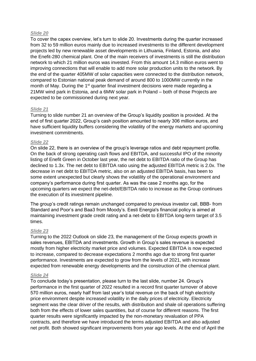# *Slide 20*

To cover the capex overview, let's turn to slide 20. Investments during the quarter increased from 32 to 59 million euros mainly due to increased investments to the different development projects led by new renewable asset developments in Lithuania, Finland, Estonia, and also the Enefit-280 chemical plant. One of the main receivers of investments is still the distribution network to which 21 million euros was invested. From this amount 14.3 million euros went to improving connections that will enable to add more solar production units to the network. By the end of the quarter 405MW of solar capacities were connected to the distribution network, compared to Estonian national peak demand of around 800 to 1000MW currently in the month of May. During the 1<sup>st</sup> quarter final investment decisions were made regarding a 21MW wind park in Estonia, and a 6MW solar park in Poland – both of those Projects are expected to be commissioned during next year.

# *Slide 21*

Turning to slide number 21 an overview of the Group's liquidity position is provided. At the end of first quarter 2022, Group's cash position amounted to nearly 306 million euros, and have sufficient liquidity buffers considering the volatility of the energy markets and upcoming investment commitments.

# *Slide 22*

On slide 22, there is an overview of the group's leverage ratios and debt repayment profile. On the back of strong operating cash flows and EBITDA, and successful IPO of the minority listing of Enefit Green in October last year, the net debt to EBITDA ratio of the Group has declined to 1.3x. The net debt to EBITDA ratio using the adjusted EBITDA metric is 2.0x. The decrease in net debt to EBITDA metric, also on an adjusted EBITDA basis, has been to some extent unexpected but clearly shows the volatility of the operational environment and company's performance during first quarter. As was the case 2 months ago, for the upcoming quarters we expect the net-debt/EBITDA ratio to increase as the Group continues the execution of its investment pipeline.

The group's credit ratings remain unchanged compared to previous investor call, BBB- from Standard and Poor's and Baa3 from Moody's. Eesti Energia's financial policy is aimed at maintaining investment grade credit rating and a net-debt to EBITDA long-term target of 3.5 times.

## *Slide 23*

Turning to the 2022 Outlook on slide 23, the management of the Group expects growth in sales revenues, EBITDA and investments. Growth in Group's sales revenue is expected mostly from higher electricity market price and volumes. Expected EBITDA is now expected to increase, compared to decrease expectations 2 months ago due to strong first quarter performance. Investments are expected to grow from the levels of 2021, with increase expected from renewable energy developments and the construction of the chemical plant.

## *Slide 24*

To conclude today's presentation, please turn to the last slide, number 24. Group's performance in the first quarter of 2022 resulted in a record first quarter turnover of above 570 million euros, nearly half from last year's total revenue on the back of high electricity price environment despite increased volatility in the daily prices of electricity. Electricity segment was the clear driver of the results, with distribution and shale oil operations suffering both from the effects of lower sales quantities, but of course for different reasons. The first quarter results were significantly impacted by the non-monetary revaluation of PPA contracts, and therefore we have introduced the terms adjusted EBITDA and also adjusted net profit. Both showed significant improvements from year ago levels. At the end of April the